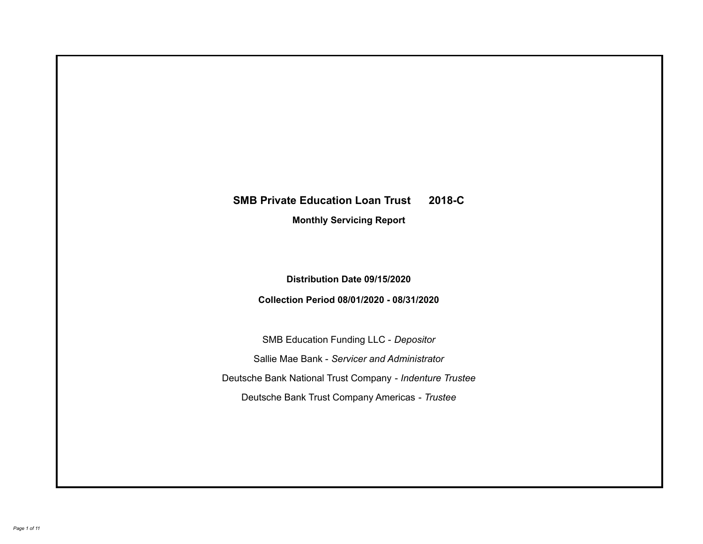# **SMB Private Education Loan Trust 2018-C Monthly Servicing Report**

**Distribution Date 09/15/2020**

**Collection Period 08/01/2020 - 08/31/2020**

SMB Education Funding LLC - *Depositor* Sallie Mae Bank - *Servicer and Administrator* Deutsche Bank National Trust Company - *Indenture Trustee* Deutsche Bank Trust Company Americas - *Trustee*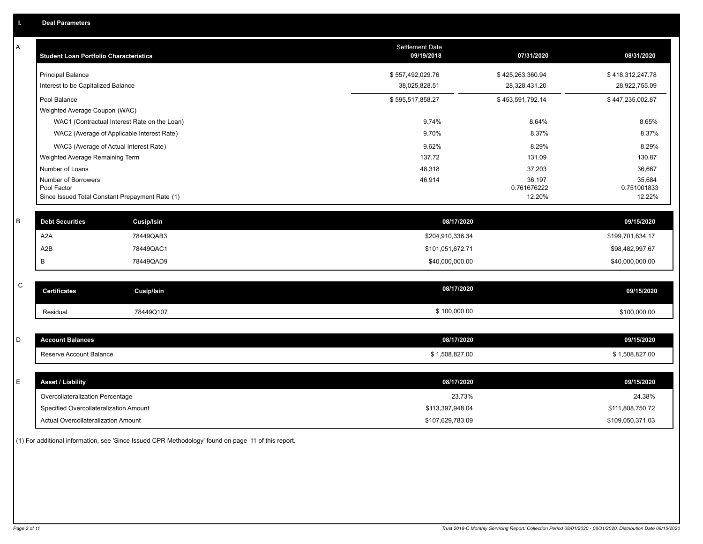| А | <b>Student Loan Portfolio Characteristics</b>                  |                                              | <b>Settlement Date</b><br>09/19/2018 | 07/31/2020            | 08/31/2020            |
|---|----------------------------------------------------------------|----------------------------------------------|--------------------------------------|-----------------------|-----------------------|
|   | <b>Principal Balance</b>                                       |                                              | \$557,492,029.76                     | \$425,263,360.94      | \$418,312,247.78      |
|   | Interest to be Capitalized Balance                             |                                              | 38,025,828.51                        | 28,328,431.20         | 28,922,755.09         |
|   | Pool Balance                                                   |                                              | \$595,517,858.27                     | \$453,591,792.14      | \$447,235,002.87      |
|   | Weighted Average Coupon (WAC)                                  |                                              |                                      |                       |                       |
|   |                                                                | WAC1 (Contractual Interest Rate on the Loan) | 9.74%                                | 8.64%                 | 8.65%                 |
|   |                                                                | WAC2 (Average of Applicable Interest Rate)   | 9.70%                                | 8.37%                 | 8.37%                 |
|   |                                                                | WAC3 (Average of Actual Interest Rate)       | 9.62%                                | 8.29%                 | 8.29%                 |
|   | Weighted Average Remaining Term                                |                                              | 137.72                               | 131.09                | 130.87                |
|   | Number of Loans                                                |                                              | 48,318                               | 37,203                | 36,667                |
|   | Number of Borrowers                                            |                                              | 46,914                               | 36,197                | 35,684                |
|   | Pool Factor<br>Since Issued Total Constant Prepayment Rate (1) |                                              |                                      | 0.761676222<br>12.20% | 0.751001833<br>12.22% |
|   |                                                                |                                              |                                      |                       |                       |
| B | <b>Debt Securities</b>                                         | Cusip/Isin                                   | 08/17/2020                           |                       | 09/15/2020            |
|   |                                                                |                                              |                                      |                       |                       |
|   | A <sub>2</sub> A                                               | 78449QAB3                                    | \$204,910,336.34                     |                       | \$199,701,634.17      |
|   | A2B                                                            | 78449QAC1                                    | \$101,051,672.71                     |                       | \$98,482,997.67       |
|   | B                                                              | 78449QAD9                                    | \$40,000,000.00                      |                       | \$40,000,000.00       |
|   |                                                                |                                              |                                      |                       |                       |
| C | <b>Certificates</b>                                            | <b>Cusip/Isin</b>                            | 08/17/2020                           |                       | 09/15/2020            |
|   | Residual                                                       | 78449Q107                                    | \$100,000.00                         |                       | \$100,000.00          |
|   |                                                                |                                              |                                      |                       |                       |
| D | <b>Account Balances</b>                                        |                                              | 08/17/2020                           |                       | 09/15/2020            |
|   | Reserve Account Balance                                        |                                              | \$1,508,827.00                       |                       | \$1,508,827.00        |
|   |                                                                |                                              |                                      |                       |                       |
| Е | <b>Asset / Liability</b>                                       |                                              | 08/17/2020                           |                       | 09/15/2020            |
|   | Overcollateralization Percentage                               |                                              | 23.73%                               |                       | 24.38%                |
|   | Specified Overcollateralization Amount                         |                                              | \$113,397,948.04                     |                       | \$111,808,750.72      |
|   | Actual Overcollateralization Amount                            |                                              | \$107,629,783.09                     |                       | \$109,050,371.03      |

(1) For additional information, see 'Since Issued CPR Methodology' found on page 11 of this report.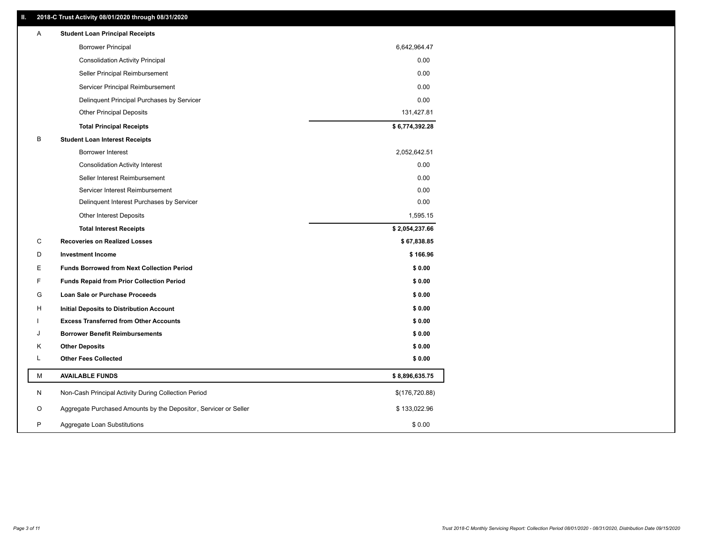### **II. 2018-C Trust Activity 08/01/2020 through 08/31/2020**

| <b>Borrower Principal</b><br>6,642,964.47<br>0.00<br><b>Consolidation Activity Principal</b><br>Seller Principal Reimbursement<br>0.00<br>Servicer Principal Reimbursement<br>0.00<br>0.00<br>Delinquent Principal Purchases by Servicer<br><b>Other Principal Deposits</b><br>131,427.81<br>\$6,774,392.28<br><b>Total Principal Receipts</b><br>B<br><b>Student Loan Interest Receipts</b><br><b>Borrower Interest</b><br>2,052,642.51<br>0.00<br><b>Consolidation Activity Interest</b><br>Seller Interest Reimbursement<br>0.00<br>0.00<br>Servicer Interest Reimbursement<br>0.00<br>Delinquent Interest Purchases by Servicer<br>Other Interest Deposits<br>1,595.15<br><b>Total Interest Receipts</b><br>\$2,054,237.66<br>C<br><b>Recoveries on Realized Losses</b><br>\$67,838.85<br>D<br><b>Investment Income</b><br>\$166.96<br>Е<br><b>Funds Borrowed from Next Collection Period</b><br>\$0.00<br>F<br>\$0.00<br><b>Funds Repaid from Prior Collection Period</b><br>G<br>\$0.00<br>Loan Sale or Purchase Proceeds<br>\$0.00<br>н<br>Initial Deposits to Distribution Account<br>\$0.00<br><b>Excess Transferred from Other Accounts</b><br><b>Borrower Benefit Reimbursements</b><br>\$0.00<br>J<br>Κ<br><b>Other Deposits</b><br>\$0.00<br>L<br><b>Other Fees Collected</b><br>\$0.00<br>M<br><b>AVAILABLE FUNDS</b><br>\$8,896,635.75<br>N<br>Non-Cash Principal Activity During Collection Period<br>\$(176,720.88)<br>Aggregate Purchased Amounts by the Depositor, Servicer or Seller<br>O<br>\$133,022.96<br>P<br>\$0.00<br>Aggregate Loan Substitutions | Α | <b>Student Loan Principal Receipts</b> |  |
|------------------------------------------------------------------------------------------------------------------------------------------------------------------------------------------------------------------------------------------------------------------------------------------------------------------------------------------------------------------------------------------------------------------------------------------------------------------------------------------------------------------------------------------------------------------------------------------------------------------------------------------------------------------------------------------------------------------------------------------------------------------------------------------------------------------------------------------------------------------------------------------------------------------------------------------------------------------------------------------------------------------------------------------------------------------------------------------------------------------------------------------------------------------------------------------------------------------------------------------------------------------------------------------------------------------------------------------------------------------------------------------------------------------------------------------------------------------------------------------------------------------------------------------------------------------------------|---|----------------------------------------|--|
|                                                                                                                                                                                                                                                                                                                                                                                                                                                                                                                                                                                                                                                                                                                                                                                                                                                                                                                                                                                                                                                                                                                                                                                                                                                                                                                                                                                                                                                                                                                                                                              |   |                                        |  |
|                                                                                                                                                                                                                                                                                                                                                                                                                                                                                                                                                                                                                                                                                                                                                                                                                                                                                                                                                                                                                                                                                                                                                                                                                                                                                                                                                                                                                                                                                                                                                                              |   |                                        |  |
|                                                                                                                                                                                                                                                                                                                                                                                                                                                                                                                                                                                                                                                                                                                                                                                                                                                                                                                                                                                                                                                                                                                                                                                                                                                                                                                                                                                                                                                                                                                                                                              |   |                                        |  |
|                                                                                                                                                                                                                                                                                                                                                                                                                                                                                                                                                                                                                                                                                                                                                                                                                                                                                                                                                                                                                                                                                                                                                                                                                                                                                                                                                                                                                                                                                                                                                                              |   |                                        |  |
|                                                                                                                                                                                                                                                                                                                                                                                                                                                                                                                                                                                                                                                                                                                                                                                                                                                                                                                                                                                                                                                                                                                                                                                                                                                                                                                                                                                                                                                                                                                                                                              |   |                                        |  |
|                                                                                                                                                                                                                                                                                                                                                                                                                                                                                                                                                                                                                                                                                                                                                                                                                                                                                                                                                                                                                                                                                                                                                                                                                                                                                                                                                                                                                                                                                                                                                                              |   |                                        |  |
|                                                                                                                                                                                                                                                                                                                                                                                                                                                                                                                                                                                                                                                                                                                                                                                                                                                                                                                                                                                                                                                                                                                                                                                                                                                                                                                                                                                                                                                                                                                                                                              |   |                                        |  |
|                                                                                                                                                                                                                                                                                                                                                                                                                                                                                                                                                                                                                                                                                                                                                                                                                                                                                                                                                                                                                                                                                                                                                                                                                                                                                                                                                                                                                                                                                                                                                                              |   |                                        |  |
|                                                                                                                                                                                                                                                                                                                                                                                                                                                                                                                                                                                                                                                                                                                                                                                                                                                                                                                                                                                                                                                                                                                                                                                                                                                                                                                                                                                                                                                                                                                                                                              |   |                                        |  |
|                                                                                                                                                                                                                                                                                                                                                                                                                                                                                                                                                                                                                                                                                                                                                                                                                                                                                                                                                                                                                                                                                                                                                                                                                                                                                                                                                                                                                                                                                                                                                                              |   |                                        |  |
|                                                                                                                                                                                                                                                                                                                                                                                                                                                                                                                                                                                                                                                                                                                                                                                                                                                                                                                                                                                                                                                                                                                                                                                                                                                                                                                                                                                                                                                                                                                                                                              |   |                                        |  |
|                                                                                                                                                                                                                                                                                                                                                                                                                                                                                                                                                                                                                                                                                                                                                                                                                                                                                                                                                                                                                                                                                                                                                                                                                                                                                                                                                                                                                                                                                                                                                                              |   |                                        |  |
|                                                                                                                                                                                                                                                                                                                                                                                                                                                                                                                                                                                                                                                                                                                                                                                                                                                                                                                                                                                                                                                                                                                                                                                                                                                                                                                                                                                                                                                                                                                                                                              |   |                                        |  |
|                                                                                                                                                                                                                                                                                                                                                                                                                                                                                                                                                                                                                                                                                                                                                                                                                                                                                                                                                                                                                                                                                                                                                                                                                                                                                                                                                                                                                                                                                                                                                                              |   |                                        |  |
|                                                                                                                                                                                                                                                                                                                                                                                                                                                                                                                                                                                                                                                                                                                                                                                                                                                                                                                                                                                                                                                                                                                                                                                                                                                                                                                                                                                                                                                                                                                                                                              |   |                                        |  |
|                                                                                                                                                                                                                                                                                                                                                                                                                                                                                                                                                                                                                                                                                                                                                                                                                                                                                                                                                                                                                                                                                                                                                                                                                                                                                                                                                                                                                                                                                                                                                                              |   |                                        |  |
|                                                                                                                                                                                                                                                                                                                                                                                                                                                                                                                                                                                                                                                                                                                                                                                                                                                                                                                                                                                                                                                                                                                                                                                                                                                                                                                                                                                                                                                                                                                                                                              |   |                                        |  |
|                                                                                                                                                                                                                                                                                                                                                                                                                                                                                                                                                                                                                                                                                                                                                                                                                                                                                                                                                                                                                                                                                                                                                                                                                                                                                                                                                                                                                                                                                                                                                                              |   |                                        |  |
|                                                                                                                                                                                                                                                                                                                                                                                                                                                                                                                                                                                                                                                                                                                                                                                                                                                                                                                                                                                                                                                                                                                                                                                                                                                                                                                                                                                                                                                                                                                                                                              |   |                                        |  |
|                                                                                                                                                                                                                                                                                                                                                                                                                                                                                                                                                                                                                                                                                                                                                                                                                                                                                                                                                                                                                                                                                                                                                                                                                                                                                                                                                                                                                                                                                                                                                                              |   |                                        |  |
|                                                                                                                                                                                                                                                                                                                                                                                                                                                                                                                                                                                                                                                                                                                                                                                                                                                                                                                                                                                                                                                                                                                                                                                                                                                                                                                                                                                                                                                                                                                                                                              |   |                                        |  |
|                                                                                                                                                                                                                                                                                                                                                                                                                                                                                                                                                                                                                                                                                                                                                                                                                                                                                                                                                                                                                                                                                                                                                                                                                                                                                                                                                                                                                                                                                                                                                                              |   |                                        |  |
|                                                                                                                                                                                                                                                                                                                                                                                                                                                                                                                                                                                                                                                                                                                                                                                                                                                                                                                                                                                                                                                                                                                                                                                                                                                                                                                                                                                                                                                                                                                                                                              |   |                                        |  |
|                                                                                                                                                                                                                                                                                                                                                                                                                                                                                                                                                                                                                                                                                                                                                                                                                                                                                                                                                                                                                                                                                                                                                                                                                                                                                                                                                                                                                                                                                                                                                                              |   |                                        |  |
|                                                                                                                                                                                                                                                                                                                                                                                                                                                                                                                                                                                                                                                                                                                                                                                                                                                                                                                                                                                                                                                                                                                                                                                                                                                                                                                                                                                                                                                                                                                                                                              |   |                                        |  |
|                                                                                                                                                                                                                                                                                                                                                                                                                                                                                                                                                                                                                                                                                                                                                                                                                                                                                                                                                                                                                                                                                                                                                                                                                                                                                                                                                                                                                                                                                                                                                                              |   |                                        |  |
|                                                                                                                                                                                                                                                                                                                                                                                                                                                                                                                                                                                                                                                                                                                                                                                                                                                                                                                                                                                                                                                                                                                                                                                                                                                                                                                                                                                                                                                                                                                                                                              |   |                                        |  |
|                                                                                                                                                                                                                                                                                                                                                                                                                                                                                                                                                                                                                                                                                                                                                                                                                                                                                                                                                                                                                                                                                                                                                                                                                                                                                                                                                                                                                                                                                                                                                                              |   |                                        |  |
|                                                                                                                                                                                                                                                                                                                                                                                                                                                                                                                                                                                                                                                                                                                                                                                                                                                                                                                                                                                                                                                                                                                                                                                                                                                                                                                                                                                                                                                                                                                                                                              |   |                                        |  |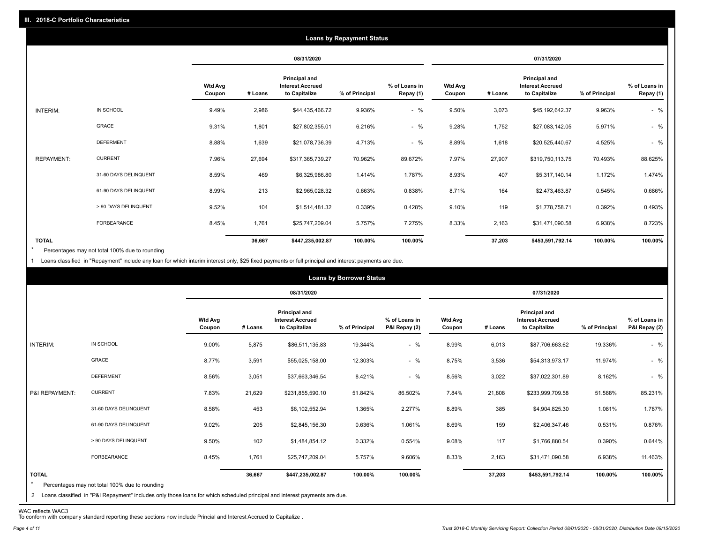| <b>Loans by Repayment Status</b> |                       |                          |            |                                                                  |                |                            |                          |         |                                                           |                |                            |
|----------------------------------|-----------------------|--------------------------|------------|------------------------------------------------------------------|----------------|----------------------------|--------------------------|---------|-----------------------------------------------------------|----------------|----------------------------|
|                                  |                       |                          | 08/31/2020 |                                                                  |                | 07/31/2020                 |                          |         |                                                           |                |                            |
|                                  |                       | <b>Wtd Avg</b><br>Coupon | # Loans    | <b>Principal and</b><br><b>Interest Accrued</b><br>to Capitalize | % of Principal | % of Loans in<br>Repay (1) | <b>Wtd Avg</b><br>Coupon | # Loans | Principal and<br><b>Interest Accrued</b><br>to Capitalize | % of Principal | % of Loans in<br>Repay (1) |
| INTERIM:                         | IN SCHOOL             | 9.49%                    | 2,986      | \$44,435,466.72                                                  | 9.936%         | $-$ %                      | 9.50%                    | 3,073   | \$45,192,642.37                                           | 9.963%         | $-$ %                      |
|                                  | <b>GRACE</b>          | 9.31%                    | 1,801      | \$27,802,355.01                                                  | 6.216%         | $-$ %                      | 9.28%                    | 1,752   | \$27,083,142.05                                           | 5.971%         | $-$ %                      |
|                                  | <b>DEFERMENT</b>      | 8.88%                    | 1,639      | \$21,078,736.39                                                  | 4.713%         | $-$ %                      | 8.89%                    | 1,618   | \$20,525,440.67                                           | 4.525%         | $-$ %                      |
| <b>REPAYMENT:</b>                | <b>CURRENT</b>        | 7.96%                    | 27,694     | \$317,365,739.27                                                 | 70.962%        | 89.672%                    | 7.97%                    | 27,907  | \$319,750,113.75                                          | 70.493%        | 88.625%                    |
|                                  | 31-60 DAYS DELINQUENT | 8.59%                    | 469        | \$6,325,986.80                                                   | 1.414%         | 1.787%                     | 8.93%                    | 407     | \$5,317,140.14                                            | 1.172%         | 1.474%                     |
|                                  | 61-90 DAYS DELINQUENT | 8.99%                    | 213        | \$2,965,028.32                                                   | 0.663%         | 0.838%                     | 8.71%                    | 164     | \$2,473,463.87                                            | 0.545%         | 0.686%                     |
|                                  | > 90 DAYS DELINQUENT  | 9.52%                    | 104        | \$1,514,481.32                                                   | 0.339%         | 0.428%                     | 9.10%                    | 119     | \$1,778,758.71                                            | 0.392%         | 0.493%                     |
|                                  | FORBEARANCE           | 8.45%                    | 1,761      | \$25,747,209.04                                                  | 5.757%         | 7.275%                     | 8.33%                    | 2,163   | \$31,471,090.58                                           | 6.938%         | 8.723%                     |
| <b>TOTAL</b>                     |                       |                          | 36,667     | \$447,235,002.87                                                 | 100.00%        | 100.00%                    |                          | 37,203  | \$453,591,792.14                                          | 100.00%        | 100.00%                    |

Percentages may not total 100% due to rounding  $\star$ 

1 Loans classified in "Repayment" include any loan for which interim interest only, \$25 fixed payments or full principal and interest payments are due.

|                         |                                                                                                                              |                          | <b>Loans by Borrower Status</b> |                                                                  |                |                                |                          |         |                                                                  |                |                                |
|-------------------------|------------------------------------------------------------------------------------------------------------------------------|--------------------------|---------------------------------|------------------------------------------------------------------|----------------|--------------------------------|--------------------------|---------|------------------------------------------------------------------|----------------|--------------------------------|
|                         |                                                                                                                              |                          |                                 | 08/31/2020                                                       |                |                                | 07/31/2020               |         |                                                                  |                |                                |
|                         |                                                                                                                              | <b>Wtd Avg</b><br>Coupon | # Loans                         | <b>Principal and</b><br><b>Interest Accrued</b><br>to Capitalize | % of Principal | % of Loans in<br>P&I Repay (2) | <b>Wtd Avg</b><br>Coupon | # Loans | <b>Principal and</b><br><b>Interest Accrued</b><br>to Capitalize | % of Principal | % of Loans in<br>P&I Repay (2) |
| INTERIM:                | IN SCHOOL                                                                                                                    | 9.00%                    | 5,875                           | \$86,511,135.83                                                  | 19.344%        | $-$ %                          | 8.99%                    | 6,013   | \$87,706,663.62                                                  | 19.336%        | $-$ %                          |
|                         | GRACE                                                                                                                        | 8.77%                    | 3,591                           | \$55,025,158.00                                                  | 12.303%        | $-$ %                          | 8.75%                    | 3,536   | \$54,313,973.17                                                  | 11.974%        | $-$ %                          |
|                         | <b>DEFERMENT</b>                                                                                                             | 8.56%                    | 3,051                           | \$37,663,346.54                                                  | 8.421%         | $-$ %                          | 8.56%                    | 3,022   | \$37,022,301.89                                                  | 8.162%         | $-$ %                          |
| P&I REPAYMENT:          | <b>CURRENT</b>                                                                                                               | 7.83%                    | 21,629                          | \$231,855,590.10                                                 | 51.842%        | 86.502%                        | 7.84%                    | 21,808  | \$233,999,709.58                                                 | 51.588%        | 85.231%                        |
|                         | 31-60 DAYS DELINQUENT                                                                                                        | 8.58%                    | 453                             | \$6,102,552.94                                                   | 1.365%         | 2.277%                         | 8.89%                    | 385     | \$4,904,825.30                                                   | 1.081%         | 1.787%                         |
|                         | 61-90 DAYS DELINQUENT                                                                                                        | 9.02%                    | 205                             | \$2,845,156.30                                                   | 0.636%         | 1.061%                         | 8.69%                    | 159     | \$2,406,347.46                                                   | 0.531%         | 0.876%                         |
|                         | > 90 DAYS DELINQUENT                                                                                                         | 9.50%                    | 102                             | \$1,484,854.12                                                   | 0.332%         | 0.554%                         | 9.08%                    | 117     | \$1,766,880.54                                                   | 0.390%         | 0.644%                         |
|                         | FORBEARANCE                                                                                                                  | 8.45%                    | 1,761                           | \$25,747,209.04                                                  | 5.757%         | 9.606%                         | 8.33%                    | 2,163   | \$31,471,090.58                                                  | 6.938%         | 11.463%                        |
| <b>TOTAL</b><br>$\star$ | Percentages may not total 100% due to rounding                                                                               |                          | 36,667                          | \$447,235,002.87                                                 | 100.00%        | 100.00%                        |                          | 37,203  | \$453,591,792.14                                                 | 100.00%        | 100.00%                        |
|                         | 2 Loans classified in "P&I Repayment" includes only those loans for which scheduled principal and interest payments are due. |                          |                                 |                                                                  |                |                                |                          |         |                                                                  |                |                                |

WAC reflects WAC3 To conform with company standard reporting these sections now include Princial and Interest Accrued to Capitalize .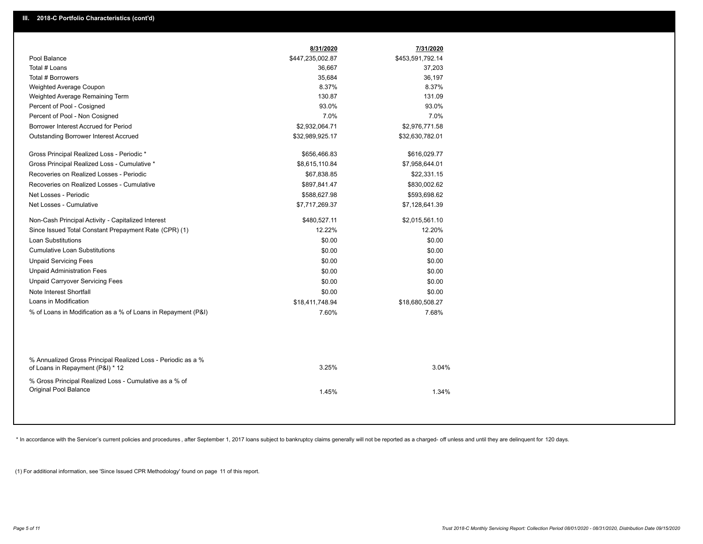| Pool Balance<br>\$447,235,002.87<br>Total # Loans<br>36,667<br>Total # Borrowers<br>35,684<br>8.37%<br>Weighted Average Coupon<br>Weighted Average Remaining Term<br>130.87<br>Percent of Pool - Cosigned<br>93.0%<br>7.0%<br>Percent of Pool - Non Cosigned<br>Borrower Interest Accrued for Period<br>\$2,932,064.71<br><b>Outstanding Borrower Interest Accrued</b><br>\$32,989,925.17<br>Gross Principal Realized Loss - Periodic *<br>\$656,466.83<br>Gross Principal Realized Loss - Cumulative *<br>\$8,615,110.84<br>Recoveries on Realized Losses - Periodic<br>\$67,838.85<br>Recoveries on Realized Losses - Cumulative<br>\$897,841.47<br>Net Losses - Periodic<br>\$588,627.98<br>Net Losses - Cumulative<br>\$7,717,269.37<br>Non-Cash Principal Activity - Capitalized Interest<br>\$480,527.11<br>Since Issued Total Constant Prepayment Rate (CPR) (1)<br>12.22%<br><b>Loan Substitutions</b><br>\$0.00<br><b>Cumulative Loan Substitutions</b><br>\$0.00<br><b>Unpaid Servicing Fees</b><br>\$0.00<br><b>Unpaid Administration Fees</b><br>\$0.00<br><b>Unpaid Carryover Servicing Fees</b><br>\$0.00<br>Note Interest Shortfall<br>\$0.00<br>Loans in Modification<br>\$18,411,748.94<br>% of Loans in Modification as a % of Loans in Repayment (P&I)<br>7.60%<br>% Annualized Gross Principal Realized Loss - Periodic as a %<br>3.25%<br>of Loans in Repayment (P&I) * 12 | 7/31/2020        | 8/31/2020 |  |
|-------------------------------------------------------------------------------------------------------------------------------------------------------------------------------------------------------------------------------------------------------------------------------------------------------------------------------------------------------------------------------------------------------------------------------------------------------------------------------------------------------------------------------------------------------------------------------------------------------------------------------------------------------------------------------------------------------------------------------------------------------------------------------------------------------------------------------------------------------------------------------------------------------------------------------------------------------------------------------------------------------------------------------------------------------------------------------------------------------------------------------------------------------------------------------------------------------------------------------------------------------------------------------------------------------------------------------------------------------------------------------------------------|------------------|-----------|--|
|                                                                                                                                                                                                                                                                                                                                                                                                                                                                                                                                                                                                                                                                                                                                                                                                                                                                                                                                                                                                                                                                                                                                                                                                                                                                                                                                                                                                 | \$453,591,792.14 |           |  |
|                                                                                                                                                                                                                                                                                                                                                                                                                                                                                                                                                                                                                                                                                                                                                                                                                                                                                                                                                                                                                                                                                                                                                                                                                                                                                                                                                                                                 | 37,203           |           |  |
|                                                                                                                                                                                                                                                                                                                                                                                                                                                                                                                                                                                                                                                                                                                                                                                                                                                                                                                                                                                                                                                                                                                                                                                                                                                                                                                                                                                                 | 36,197           |           |  |
|                                                                                                                                                                                                                                                                                                                                                                                                                                                                                                                                                                                                                                                                                                                                                                                                                                                                                                                                                                                                                                                                                                                                                                                                                                                                                                                                                                                                 | 8.37%            |           |  |
|                                                                                                                                                                                                                                                                                                                                                                                                                                                                                                                                                                                                                                                                                                                                                                                                                                                                                                                                                                                                                                                                                                                                                                                                                                                                                                                                                                                                 | 131.09           |           |  |
|                                                                                                                                                                                                                                                                                                                                                                                                                                                                                                                                                                                                                                                                                                                                                                                                                                                                                                                                                                                                                                                                                                                                                                                                                                                                                                                                                                                                 | 93.0%            |           |  |
|                                                                                                                                                                                                                                                                                                                                                                                                                                                                                                                                                                                                                                                                                                                                                                                                                                                                                                                                                                                                                                                                                                                                                                                                                                                                                                                                                                                                 | 7.0%             |           |  |
|                                                                                                                                                                                                                                                                                                                                                                                                                                                                                                                                                                                                                                                                                                                                                                                                                                                                                                                                                                                                                                                                                                                                                                                                                                                                                                                                                                                                 | \$2,976,771.58   |           |  |
|                                                                                                                                                                                                                                                                                                                                                                                                                                                                                                                                                                                                                                                                                                                                                                                                                                                                                                                                                                                                                                                                                                                                                                                                                                                                                                                                                                                                 | \$32,630,782.01  |           |  |
|                                                                                                                                                                                                                                                                                                                                                                                                                                                                                                                                                                                                                                                                                                                                                                                                                                                                                                                                                                                                                                                                                                                                                                                                                                                                                                                                                                                                 | \$616,029.77     |           |  |
|                                                                                                                                                                                                                                                                                                                                                                                                                                                                                                                                                                                                                                                                                                                                                                                                                                                                                                                                                                                                                                                                                                                                                                                                                                                                                                                                                                                                 | \$7,958,644.01   |           |  |
|                                                                                                                                                                                                                                                                                                                                                                                                                                                                                                                                                                                                                                                                                                                                                                                                                                                                                                                                                                                                                                                                                                                                                                                                                                                                                                                                                                                                 | \$22,331.15      |           |  |
|                                                                                                                                                                                                                                                                                                                                                                                                                                                                                                                                                                                                                                                                                                                                                                                                                                                                                                                                                                                                                                                                                                                                                                                                                                                                                                                                                                                                 | \$830,002.62     |           |  |
|                                                                                                                                                                                                                                                                                                                                                                                                                                                                                                                                                                                                                                                                                                                                                                                                                                                                                                                                                                                                                                                                                                                                                                                                                                                                                                                                                                                                 | \$593,698.62     |           |  |
|                                                                                                                                                                                                                                                                                                                                                                                                                                                                                                                                                                                                                                                                                                                                                                                                                                                                                                                                                                                                                                                                                                                                                                                                                                                                                                                                                                                                 | \$7,128,641.39   |           |  |
|                                                                                                                                                                                                                                                                                                                                                                                                                                                                                                                                                                                                                                                                                                                                                                                                                                                                                                                                                                                                                                                                                                                                                                                                                                                                                                                                                                                                 | \$2,015,561.10   |           |  |
|                                                                                                                                                                                                                                                                                                                                                                                                                                                                                                                                                                                                                                                                                                                                                                                                                                                                                                                                                                                                                                                                                                                                                                                                                                                                                                                                                                                                 | 12.20%           |           |  |
|                                                                                                                                                                                                                                                                                                                                                                                                                                                                                                                                                                                                                                                                                                                                                                                                                                                                                                                                                                                                                                                                                                                                                                                                                                                                                                                                                                                                 | \$0.00           |           |  |
|                                                                                                                                                                                                                                                                                                                                                                                                                                                                                                                                                                                                                                                                                                                                                                                                                                                                                                                                                                                                                                                                                                                                                                                                                                                                                                                                                                                                 | \$0.00           |           |  |
|                                                                                                                                                                                                                                                                                                                                                                                                                                                                                                                                                                                                                                                                                                                                                                                                                                                                                                                                                                                                                                                                                                                                                                                                                                                                                                                                                                                                 | \$0.00           |           |  |
|                                                                                                                                                                                                                                                                                                                                                                                                                                                                                                                                                                                                                                                                                                                                                                                                                                                                                                                                                                                                                                                                                                                                                                                                                                                                                                                                                                                                 | \$0.00           |           |  |
|                                                                                                                                                                                                                                                                                                                                                                                                                                                                                                                                                                                                                                                                                                                                                                                                                                                                                                                                                                                                                                                                                                                                                                                                                                                                                                                                                                                                 | \$0.00           |           |  |
|                                                                                                                                                                                                                                                                                                                                                                                                                                                                                                                                                                                                                                                                                                                                                                                                                                                                                                                                                                                                                                                                                                                                                                                                                                                                                                                                                                                                 | \$0.00           |           |  |
|                                                                                                                                                                                                                                                                                                                                                                                                                                                                                                                                                                                                                                                                                                                                                                                                                                                                                                                                                                                                                                                                                                                                                                                                                                                                                                                                                                                                 | \$18,680,508.27  |           |  |
|                                                                                                                                                                                                                                                                                                                                                                                                                                                                                                                                                                                                                                                                                                                                                                                                                                                                                                                                                                                                                                                                                                                                                                                                                                                                                                                                                                                                 | 7.68%            |           |  |
|                                                                                                                                                                                                                                                                                                                                                                                                                                                                                                                                                                                                                                                                                                                                                                                                                                                                                                                                                                                                                                                                                                                                                                                                                                                                                                                                                                                                 |                  |           |  |
|                                                                                                                                                                                                                                                                                                                                                                                                                                                                                                                                                                                                                                                                                                                                                                                                                                                                                                                                                                                                                                                                                                                                                                                                                                                                                                                                                                                                 | 3.04%            |           |  |
| % Gross Principal Realized Loss - Cumulative as a % of<br><b>Original Pool Balance</b><br>1.45%                                                                                                                                                                                                                                                                                                                                                                                                                                                                                                                                                                                                                                                                                                                                                                                                                                                                                                                                                                                                                                                                                                                                                                                                                                                                                                 | 1.34%            |           |  |

\* In accordance with the Servicer's current policies and procedures, after September 1, 2017 loans subject to bankruptcy claims generally will not be reported as a charged- off unless and until they are delinquent for 120

(1) For additional information, see 'Since Issued CPR Methodology' found on page 11 of this report.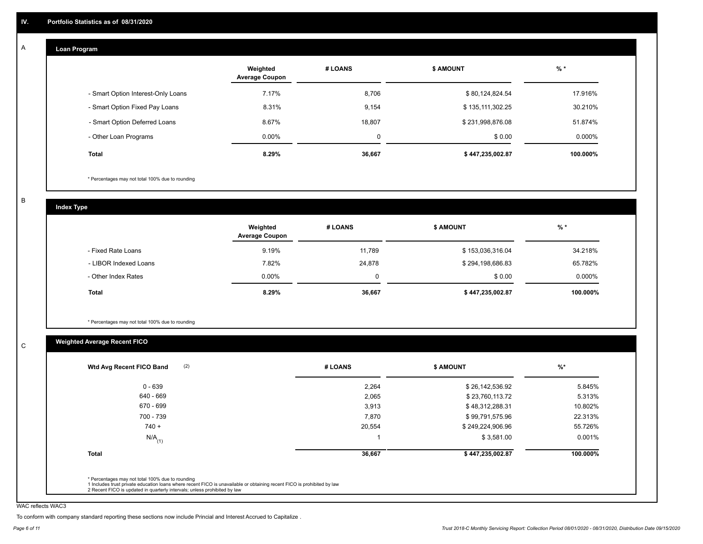#### **Loan Program**  A

|                                    | Weighted<br><b>Average Coupon</b> | # LOANS     | <b>\$ AMOUNT</b> | $%$ *     |
|------------------------------------|-----------------------------------|-------------|------------------|-----------|
| - Smart Option Interest-Only Loans | 7.17%                             | 8,706       | \$80,124,824.54  | 17.916%   |
| - Smart Option Fixed Pay Loans     | 8.31%                             | 9,154       | \$135,111,302.25 | 30.210%   |
| - Smart Option Deferred Loans      | 8.67%                             | 18.807      | \$231,998,876.08 | 51.874%   |
| - Other Loan Programs              | $0.00\%$                          | $\mathbf 0$ | \$0.00           | $0.000\%$ |
| <b>Total</b>                       | $8.29\%$                          | 36,667      | \$447,235,002.87 | 100.000%  |

\* Percentages may not total 100% due to rounding

B

C

**Index Type**

|                       | Weighted<br><b>Average Coupon</b> | # LOANS | <b>\$ AMOUNT</b> | $%$ *    |
|-----------------------|-----------------------------------|---------|------------------|----------|
| - Fixed Rate Loans    | 9.19%                             | 11.789  | \$153,036,316.04 | 34.218%  |
| - LIBOR Indexed Loans | 7.82%                             | 24,878  | \$294,198,686.83 | 65.782%  |
| - Other Index Rates   | $0.00\%$                          |         | \$0.00           | 0.000%   |
| <b>Total</b>          | 8.29%                             | 36,667  | \$447,235,002.87 | 100.000% |

\* Percentages may not total 100% due to rounding

## **Weighted Average Recent FICO**

|                      | # LOANS | <b>\$ AMOUNT</b> | $%$ *    |
|----------------------|---------|------------------|----------|
| $0 - 639$            | 2,264   | \$26,142,536.92  | 5.845%   |
| 640 - 669            | 2,065   | \$23,760,113.72  | 5.313%   |
| 670 - 699            | 3,913   | \$48,312,288.31  | 10.802%  |
| 700 - 739            | 7.870   | \$99,791,575.96  | 22.313%  |
| $740 +$              | 20,554  | \$249,224,906.96 | 55.726%  |
| $N/A$ <sub>(1)</sub> |         | \$3,581.00       | 0.001%   |
| <b>Total</b>         | 36,667  | \$447,235,002.87 | 100.000% |

WAC reflects WAC3

To conform with company standard reporting these sections now include Princial and Interest Accrued to Capitalize .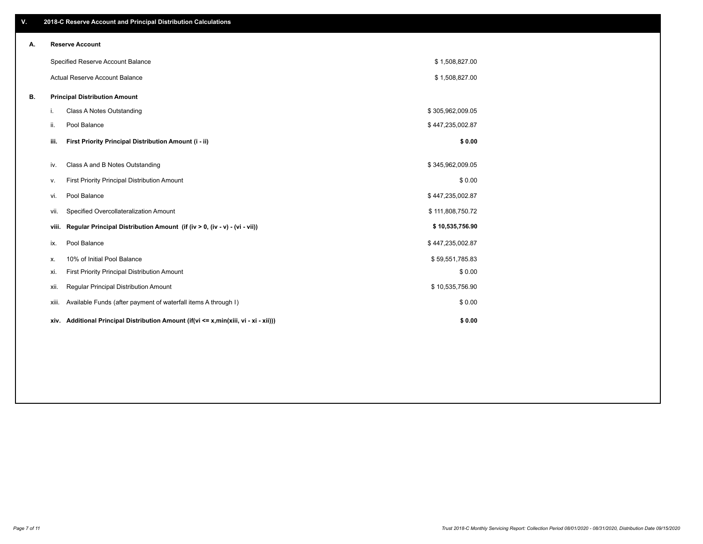| V. |                     | 2018-C Reserve Account and Principal Distribution Calculations                        |                  |  |  |  |  |  |  |
|----|---------------------|---------------------------------------------------------------------------------------|------------------|--|--|--|--|--|--|
| Α. |                     | <b>Reserve Account</b>                                                                |                  |  |  |  |  |  |  |
|    |                     | Specified Reserve Account Balance                                                     | \$1,508,827.00   |  |  |  |  |  |  |
|    |                     | Actual Reserve Account Balance                                                        | \$1,508,827.00   |  |  |  |  |  |  |
| В. |                     | <b>Principal Distribution Amount</b>                                                  |                  |  |  |  |  |  |  |
|    | i.                  | Class A Notes Outstanding                                                             | \$305,962,009.05 |  |  |  |  |  |  |
|    | Pool Balance<br>ii. |                                                                                       | \$447,235,002.87 |  |  |  |  |  |  |
|    | iii.                | First Priority Principal Distribution Amount (i - ii)                                 | \$0.00           |  |  |  |  |  |  |
|    | iv.                 | Class A and B Notes Outstanding                                                       | \$345,962,009.05 |  |  |  |  |  |  |
|    |                     |                                                                                       |                  |  |  |  |  |  |  |
|    | v.                  | First Priority Principal Distribution Amount                                          | \$0.00           |  |  |  |  |  |  |
|    | vi.                 | Pool Balance                                                                          | \$447,235,002.87 |  |  |  |  |  |  |
|    | Vii.                | Specified Overcollateralization Amount                                                | \$111,808,750.72 |  |  |  |  |  |  |
|    | viii.               | Regular Principal Distribution Amount (if (iv > 0, (iv - v) - (vi - vii))             | \$10,535,756.90  |  |  |  |  |  |  |
|    | ix.                 | Pool Balance                                                                          | \$447,235,002.87 |  |  |  |  |  |  |
|    | х.                  | 10% of Initial Pool Balance                                                           | \$59,551,785.83  |  |  |  |  |  |  |
|    | xi.                 | First Priority Principal Distribution Amount                                          | \$0.00           |  |  |  |  |  |  |
|    | xii.                | Regular Principal Distribution Amount                                                 | \$10,535,756.90  |  |  |  |  |  |  |
|    | xiii.               | Available Funds (after payment of waterfall items A through I)                        | \$0.00           |  |  |  |  |  |  |
|    |                     | xiv. Additional Principal Distribution Amount (if (vi <= x,min(xiii, vi - xi - xii))) | \$0.00           |  |  |  |  |  |  |
|    |                     |                                                                                       |                  |  |  |  |  |  |  |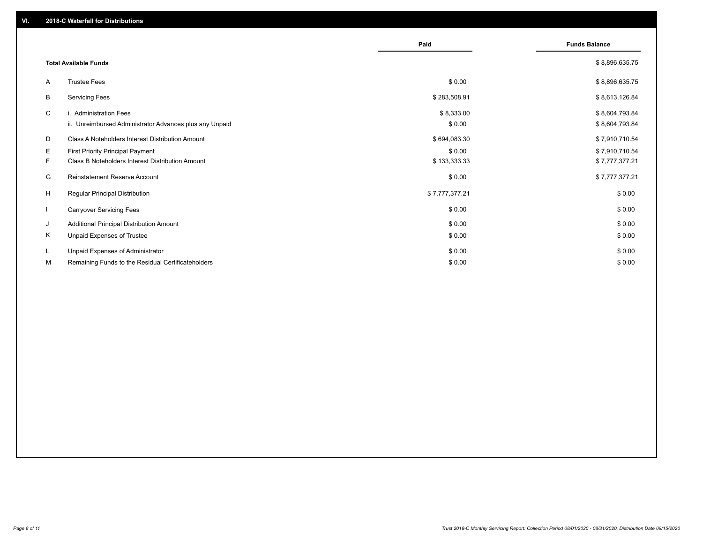|              |                                                         | Paid           | <b>Funds Balance</b> |
|--------------|---------------------------------------------------------|----------------|----------------------|
|              | <b>Total Available Funds</b>                            |                | \$8,896,635.75       |
| A            | <b>Trustee Fees</b>                                     | \$0.00         | \$8,896,635.75       |
| В            | <b>Servicing Fees</b>                                   | \$283,508.91   | \$8,613,126.84       |
| C            | i. Administration Fees                                  | \$8,333.00     | \$8,604,793.84       |
|              | ii. Unreimbursed Administrator Advances plus any Unpaid | \$0.00         | \$8,604,793.84       |
| D            | Class A Noteholders Interest Distribution Amount        | \$694,083.30   | \$7,910,710.54       |
| E.           | <b>First Priority Principal Payment</b>                 | \$0.00         | \$7,910,710.54       |
| F.           | Class B Noteholders Interest Distribution Amount        | \$133,333.33   | \$7,777,377.21       |
| G            | <b>Reinstatement Reserve Account</b>                    | \$0.00         | \$7,777,377.21       |
| H            | <b>Regular Principal Distribution</b>                   | \$7,777,377.21 | \$0.00               |
| $\mathbf{I}$ | <b>Carryover Servicing Fees</b>                         | \$0.00         | \$0.00               |
| J            | Additional Principal Distribution Amount                | \$0.00         | \$0.00               |
| Κ            | Unpaid Expenses of Trustee                              | \$0.00         | \$0.00               |
| L            | Unpaid Expenses of Administrator                        | \$0.00         | \$0.00               |
| М            | Remaining Funds to the Residual Certificateholders      | \$0.00         | \$0.00               |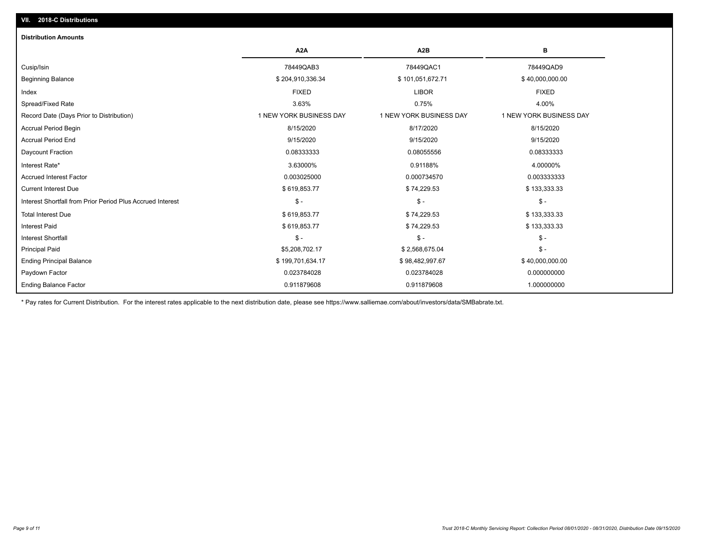# Ending Balance Factor Paydown Factor 0.023784028 0.023784028 0.000000000 Ending Principal Balance \$ 199,701,634.17 \$ \$ 98,482,997.67 \$ \$ 98,482,997.67 \$ 40,000,000.00 Principal Paid \$5,208,702.17 \$ 2,568,675.04 \$ - Interest Shortfall \$ - \$ - \$ - Interest Paid \$ 619,853.77 \$ 74,229.53 \$ 133,333.33 Total Interest Due \$ 133,333.33 \$ 74,229.53 \$ 74,229.53 \$ 74,229.53 \$ 753,333.33 Interest Shortfall from Prior Period Plus Accrued Interest \$ - \$ - \$ -  $\text{Current Interest Due}$   $\text{New System} = \text{New System} \cdot \text{New System} \cdot \text{New System} \cdot \text{New System} \cdot \text{New System} \cdot \text{New System} \cdot \text{New System} \cdot \text{New System} \cdot \text{New System} \cdot \text{New System} \cdot \text{New System} \cdot \text{New System} \cdot \text{New System} \cdot \text{New System} \cdot \text{New System} \cdot \text{New System} \cdot \text{New System} \cdot \text{New System} \cdot \text{New System} \cdot \text{New System} \cdot \text{New System} \cdot \text{New System} \cdot \text{New System} \cdot \text{New System} \cdot \text{New System} \cdot \text{New$ Accrued Interest Factor 0.003025000 0.000734570 0.003333333 Interest Rate\* 3.63000% 0.91188% 4.00000% Daycount Fraction 0.08333333 0.08055556 0.08333333 Accrual Period End 9/15/2020 9/15/2020 9/15/2020 Accrual Period Begin 8/15/2020 8/17/2020 8/15/2020 Record Date (Days Prior to Distribution) 1 1 NEW YORK BUSINESS DAY 1 NEW YORK BUSINESS DAY 1 NEW YORK BUSINESS DAY Spread/Fixed Rate 3.63% 0.75% 4.00% Index FIXED LIBOR FIXED Beginning Balance \$ 204,910,336.34 \$ 101,051,672.71 \$ 40,000,000.00 Cusip/Isin 78449QAB3 78449QAC1 78449QAD9 **A2A A2B B** 0.911879608 0.911879608 1.000000000 **Distribution Amounts**

\* Pay rates for Current Distribution. For the interest rates applicable to the next distribution date, please see https://www.salliemae.com/about/investors/data/SMBabrate.txt.

**VII. 2018-C Distributions**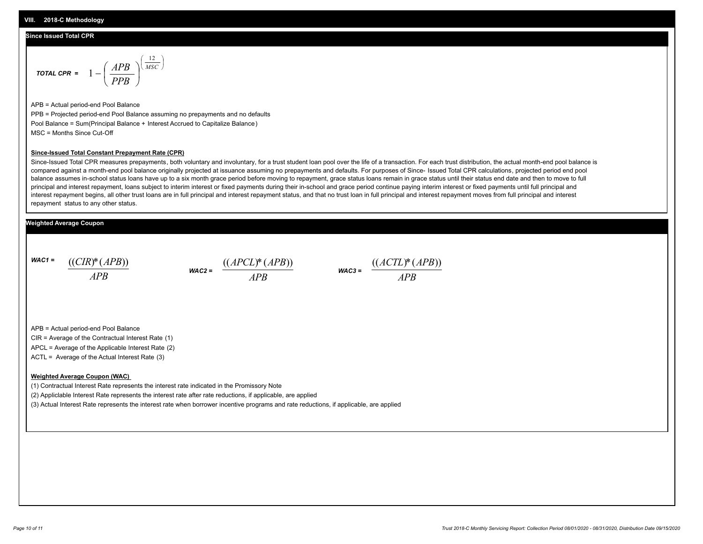#### **Since Issued Total CPR**

$$
\text{total CPR} = 1 - \left(\frac{APB}{PPB}\right)^{\left(\frac{12}{MSC}\right)}
$$

APB = Actual period-end Pool Balance PPB = Projected period-end Pool Balance assuming no prepayments and no defaults Pool Balance = Sum(Principal Balance + Interest Accrued to Capitalize Balance) MSC = Months Since Cut-Off

#### **Since-Issued Total Constant Prepayment Rate (CPR)**

Since-Issued Total CPR measures prepayments, both voluntary and involuntary, for a trust student loan pool over the life of a transaction. For each trust distribution, the actual month-end pool balance is compared against a month-end pool balance originally projected at issuance assuming no prepayments and defaults. For purposes of Since- Issued Total CPR calculations, projected period end pool balance assumes in-school status loans have up to a six month grace period before moving to repayment, grace status loans remain in grace status until their status end date and then to move to full principal and interest repayment, loans subject to interim interest or fixed payments during their in-school and grace period continue paying interim interest or fixed payments until full principal and interest repayment begins, all other trust loans are in full principal and interest repayment status, and that no trust loan in full principal and interest repayment moves from full principal and interest repayment status to any other status.

#### **Weighted Average Coupon**

*WAC1 = APB* ((*CIR*)\*(*APB*))

*WAC2 = APB*  $\frac{((APCL)^{*}(APB))}{APB}$  wac<sub>3</sub> =  $\frac{((ACTL)^{*}(A)P}{APB}$ 



APB = Actual period-end Pool Balance

CIR = Average of the Contractual Interest Rate (1)

APCL = Average of the Applicable Interest Rate (2)

ACTL = Average of the Actual Interest Rate (3)

#### **Weighted Average Coupon (WAC)**

(1) Contractual Interest Rate represents the interest rate indicated in the Promissory Note

(2) Appliclable Interest Rate represents the interest rate after rate reductions, if applicable, are applied

(3) Actual Interest Rate represents the interest rate when borrower incentive programs and rate reductions, if applicable, are applied